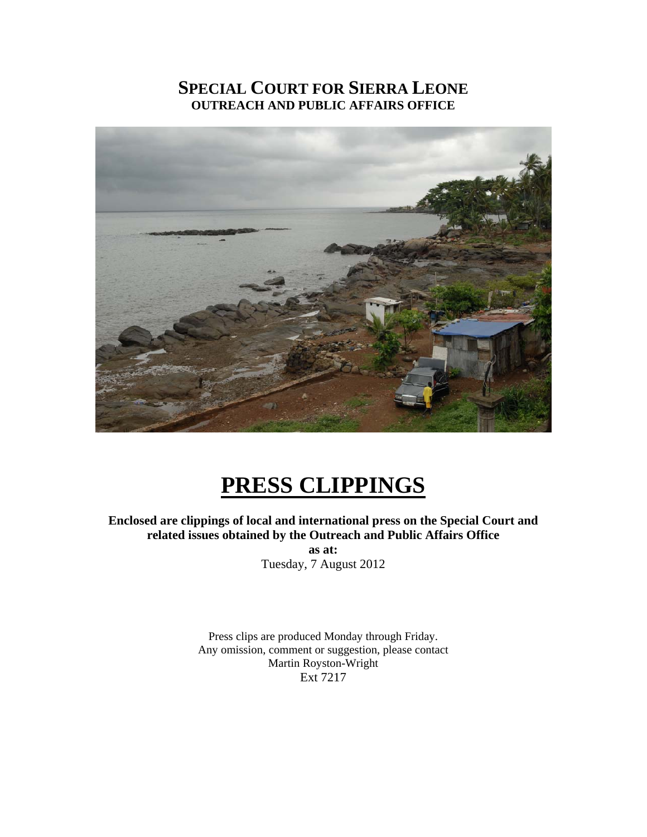# **SPECIAL COURT FOR SIERRA LEONE OUTREACH AND PUBLIC AFFAIRS OFFICE**



# **PRESS CLIPPINGS**

**Enclosed are clippings of local and international press on the Special Court and related issues obtained by the Outreach and Public Affairs Office** 

> **as at:**  Tuesday, 7 August 2012

Press clips are produced Monday through Friday. Any omission, comment or suggestion, please contact Martin Royston-Wright Ext 7217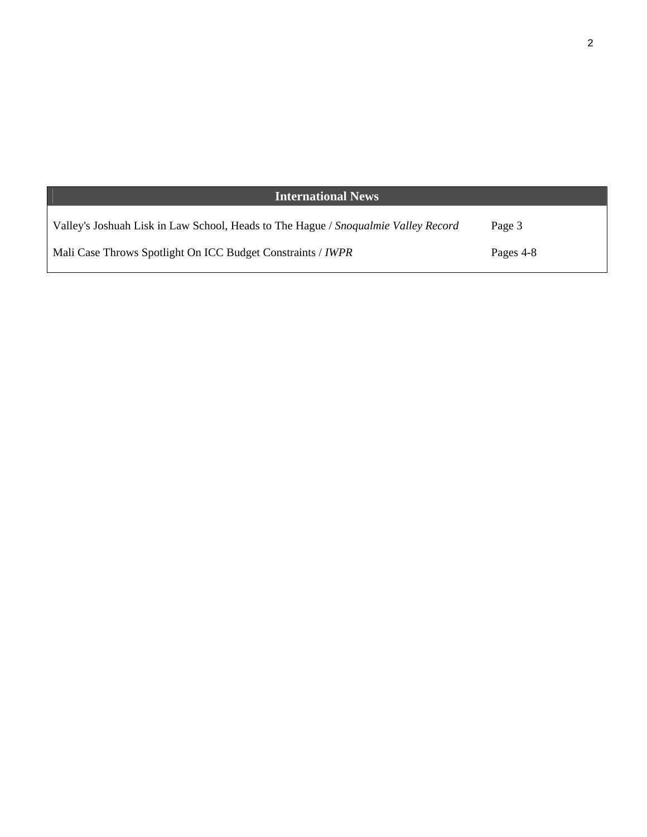| <b>International News</b>                                                          |           |
|------------------------------------------------------------------------------------|-----------|
| Valley's Joshuah Lisk in Law School, Heads to The Hague / Snoqualmie Valley Record | Page 3    |
| Mali Case Throws Spotlight On ICC Budget Constraints / <i>IWPR</i>                 | Pages 4-8 |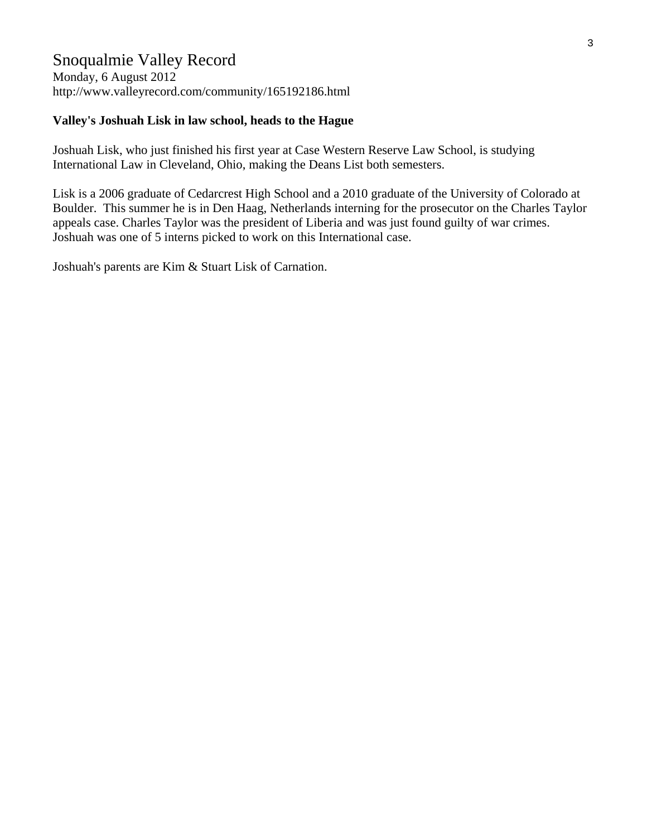### Snoqualmie Valley Record

Monday, 6 August 2012 http://www.valleyrecord.com/community/165192186.html

#### **Valley's Joshuah Lisk in law school, heads to the Hague**

Joshuah Lisk, who just finished his first year at Case Western Reserve Law School, is studying International Law in Cleveland, Ohio, making the Deans List both semesters.

Lisk is a 2006 graduate of Cedarcrest High School and a 2010 graduate of the University of Colorado at Boulder. This summer he is in Den Haag, Netherlands interning for the prosecutor on the Charles Taylor appeals case. Charles Taylor was the president of Liberia and was just found guilty of war crimes. Joshuah was one of 5 interns picked to work on this International case.

Joshuah's parents are Kim & Stuart Lisk of Carnation.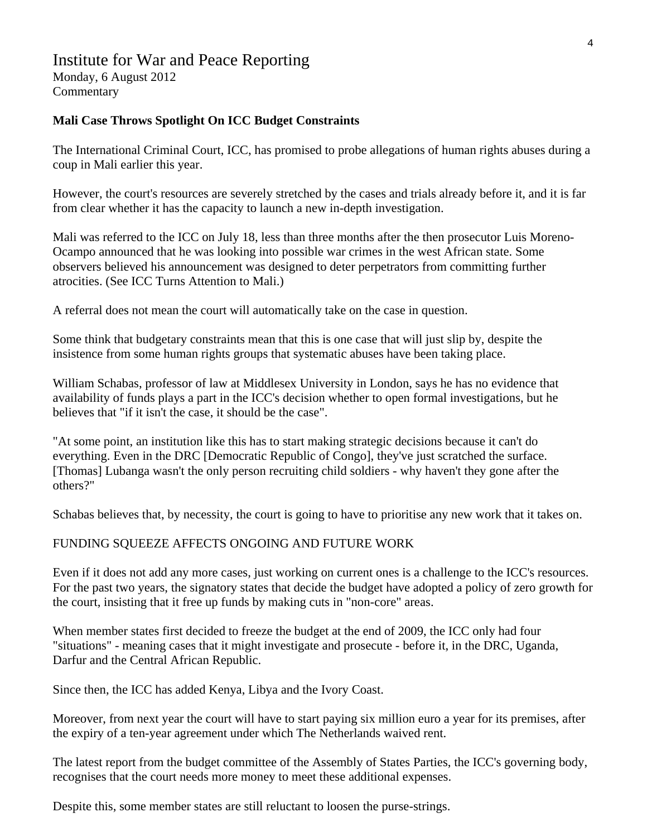## Institute for War and Peace Reporting

Monday, 6 August 2012 Commentary

#### **Mali Case Throws Spotlight On ICC Budget Constraints**

The International Criminal Court, ICC, has promised to probe allegations of human rights abuses during a coup in Mali earlier this year.

However, the court's resources are severely stretched by the cases and trials already before it, and it is far from clear whether it has the capacity to launch a new in-depth investigation.

Mali was referred to the ICC on July 18, less than three months after the then prosecutor Luis Moreno-Ocampo announced that he was looking into possible war crimes in the west African state. Some observers believed his announcement was designed to deter perpetrators from committing further atrocities. (See ICC Turns Attention to Mali.)

A referral does not mean the court will automatically take on the case in question.

Some think that budgetary constraints mean that this is one case that will just slip by, despite the insistence from some human rights groups that systematic abuses have been taking place.

William Schabas, professor of law at Middlesex University in London, says he has no evidence that availability of funds plays a part in the ICC's decision whether to open formal investigations, but he believes that "if it isn't the case, it should be the case".

"At some point, an institution like this has to start making strategic decisions because it can't do everything. Even in the DRC [Democratic Republic of Congo], they've just scratched the surface. [Thomas] Lubanga wasn't the only person recruiting child soldiers - why haven't they gone after the others?"

Schabas believes that, by necessity, the court is going to have to prioritise any new work that it takes on.

#### FUNDING SQUEEZE AFFECTS ONGOING AND FUTURE WORK

Even if it does not add any more cases, just working on current ones is a challenge to the ICC's resources. For the past two years, the signatory states that decide the budget have adopted a policy of zero growth for the court, insisting that it free up funds by making cuts in "non-core" areas.

When member states first decided to freeze the budget at the end of 2009, the ICC only had four "situations" - meaning cases that it might investigate and prosecute - before it, in the DRC, Uganda, Darfur and the Central African Republic.

Since then, the ICC has added Kenya, Libya and the Ivory Coast.

Moreover, from next year the court will have to start paying six million euro a year for its premises, after the expiry of a ten-year agreement under which The Netherlands waived rent.

The latest report from the budget committee of the Assembly of States Parties, the ICC's governing body, recognises that the court needs more money to meet these additional expenses.

Despite this, some member states are still reluctant to loosen the purse-strings.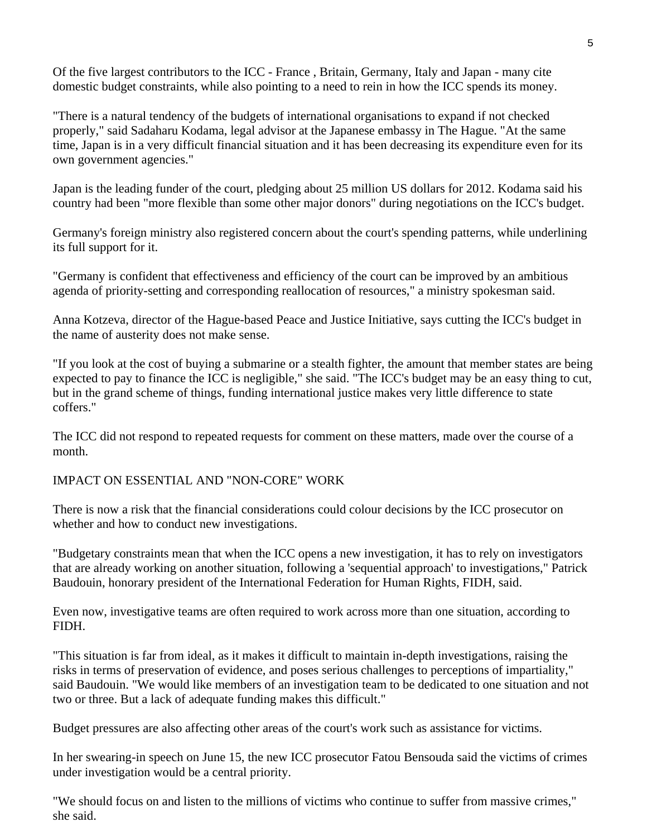Of the five largest contributors to the ICC - France , Britain, Germany, Italy and Japan - many cite domestic budget constraints, while also pointing to a need to rein in how the ICC spends its money.

"There is a natural tendency of the budgets of international organisations to expand if not checked properly," said Sadaharu Kodama, legal advisor at the Japanese embassy in The Hague. "At the same time, Japan is in a very difficult financial situation and it has been decreasing its expenditure even for its own government agencies."

Japan is the leading funder of the court, pledging about 25 million US dollars for 2012. Kodama said his country had been "more flexible than some other major donors" during negotiations on the ICC's budget.

Germany's foreign ministry also registered concern about the court's spending patterns, while underlining its full support for it.

"Germany is confident that effectiveness and efficiency of the court can be improved by an ambitious agenda of priority-setting and corresponding reallocation of resources," a ministry spokesman said.

Anna Kotzeva, director of the Hague-based Peace and Justice Initiative, says cutting the ICC's budget in the name of austerity does not make sense.

"If you look at the cost of buying a submarine or a stealth fighter, the amount that member states are being expected to pay to finance the ICC is negligible," she said. "The ICC's budget may be an easy thing to cut, but in the grand scheme of things, funding international justice makes very little difference to state coffers."

The ICC did not respond to repeated requests for comment on these matters, made over the course of a month.

IMPACT ON ESSENTIAL AND "NON-CORE" WORK

There is now a risk that the financial considerations could colour decisions by the ICC prosecutor on whether and how to conduct new investigations.

"Budgetary constraints mean that when the ICC opens a new investigation, it has to rely on investigators that are already working on another situation, following a 'sequential approach' to investigations," Patrick Baudouin, honorary president of the International Federation for Human Rights, FIDH, said.

Even now, investigative teams are often required to work across more than one situation, according to FIDH.

"This situation is far from ideal, as it makes it difficult to maintain in-depth investigations, raising the risks in terms of preservation of evidence, and poses serious challenges to perceptions of impartiality," said Baudouin. "We would like members of an investigation team to be dedicated to one situation and not two or three. But a lack of adequate funding makes this difficult."

Budget pressures are also affecting other areas of the court's work such as assistance for victims.

In her swearing-in speech on June 15, the new ICC prosecutor Fatou Bensouda said the victims of crimes under investigation would be a central priority.

"We should focus on and listen to the millions of victims who continue to suffer from massive crimes," she said.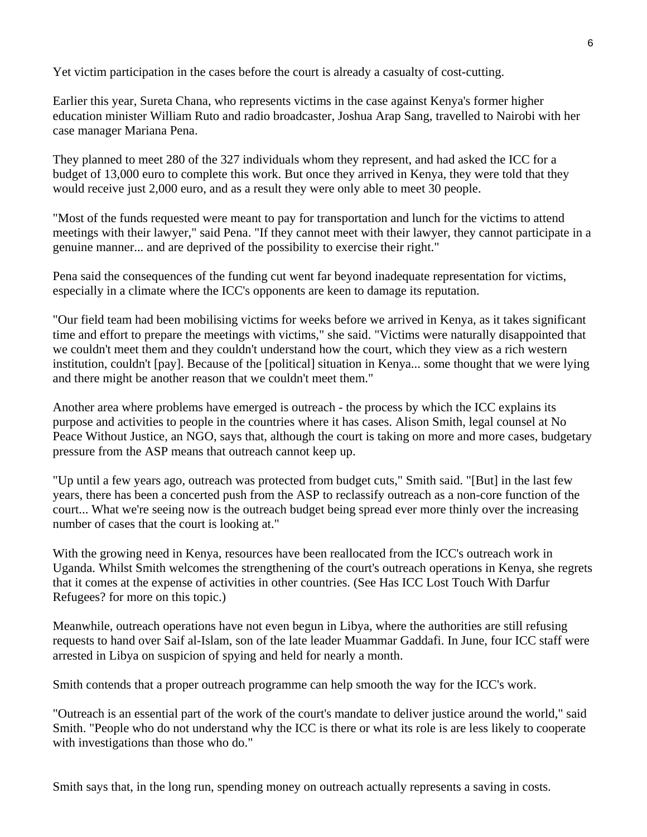Yet victim participation in the cases before the court is already a casualty of cost-cutting.

Earlier this year, Sureta Chana, who represents victims in the case against Kenya's former higher education minister William Ruto and radio broadcaster, Joshua Arap Sang, travelled to Nairobi with her case manager Mariana Pena.

They planned to meet 280 of the 327 individuals whom they represent, and had asked the ICC for a budget of 13,000 euro to complete this work. But once they arrived in Kenya, they were told that they would receive just 2,000 euro, and as a result they were only able to meet 30 people.

"Most of the funds requested were meant to pay for transportation and lunch for the victims to attend meetings with their lawyer," said Pena. "If they cannot meet with their lawyer, they cannot participate in a genuine manner... and are deprived of the possibility to exercise their right."

Pena said the consequences of the funding cut went far beyond inadequate representation for victims, especially in a climate where the ICC's opponents are keen to damage its reputation.

"Our field team had been mobilising victims for weeks before we arrived in Kenya, as it takes significant time and effort to prepare the meetings with victims," she said. "Victims were naturally disappointed that we couldn't meet them and they couldn't understand how the court, which they view as a rich western institution, couldn't [pay]. Because of the [political] situation in Kenya... some thought that we were lying and there might be another reason that we couldn't meet them."

Another area where problems have emerged is outreach - the process by which the ICC explains its purpose and activities to people in the countries where it has cases. Alison Smith, legal counsel at No Peace Without Justice, an NGO, says that, although the court is taking on more and more cases, budgetary pressure from the ASP means that outreach cannot keep up.

"Up until a few years ago, outreach was protected from budget cuts," Smith said. "[But] in the last few years, there has been a concerted push from the ASP to reclassify outreach as a non-core function of the court... What we're seeing now is the outreach budget being spread ever more thinly over the increasing number of cases that the court is looking at."

With the growing need in Kenya, resources have been reallocated from the ICC's outreach work in Uganda. Whilst Smith welcomes the strengthening of the court's outreach operations in Kenya, she regrets that it comes at the expense of activities in other countries. (See Has ICC Lost Touch With Darfur Refugees? for more on this topic.)

Meanwhile, outreach operations have not even begun in Libya, where the authorities are still refusing requests to hand over Saif al-Islam, son of the late leader Muammar Gaddafi. In June, four ICC staff were arrested in Libya on suspicion of spying and held for nearly a month.

Smith contends that a proper outreach programme can help smooth the way for the ICC's work.

"Outreach is an essential part of the work of the court's mandate to deliver justice around the world," said Smith. "People who do not understand why the ICC is there or what its role is are less likely to cooperate with investigations than those who do."

Smith says that, in the long run, spending money on outreach actually represents a saving in costs.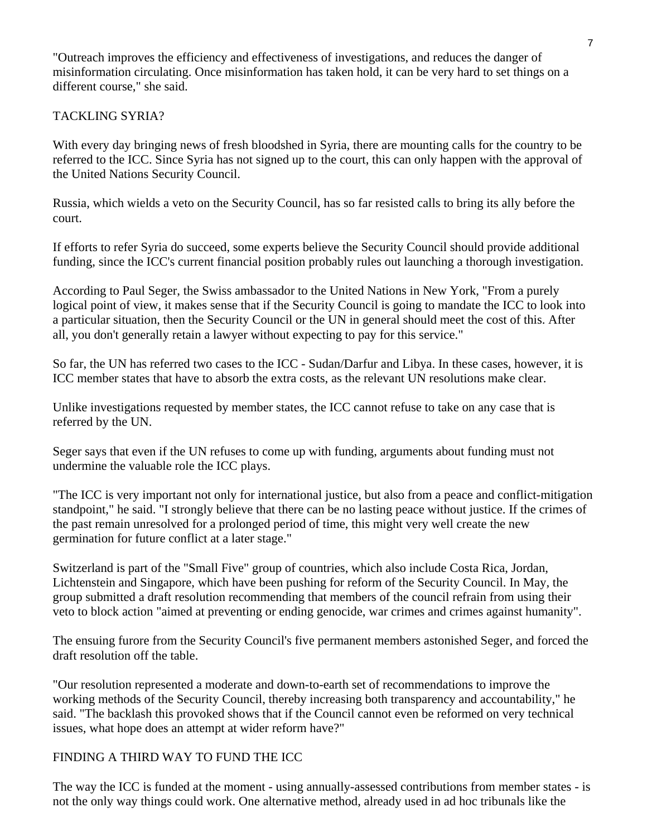"Outreach improves the efficiency and effectiveness of investigations, and reduces the danger of misinformation circulating. Once misinformation has taken hold, it can be very hard to set things on a different course," she said.

### TACKLING SYRIA?

With every day bringing news of fresh bloodshed in Syria, there are mounting calls for the country to be referred to the ICC. Since Syria has not signed up to the court, this can only happen with the approval of the United Nations Security Council.

Russia, which wields a veto on the Security Council, has so far resisted calls to bring its ally before the court.

If efforts to refer Syria do succeed, some experts believe the Security Council should provide additional funding, since the ICC's current financial position probably rules out launching a thorough investigation.

According to Paul Seger, the Swiss ambassador to the United Nations in New York, "From a purely logical point of view, it makes sense that if the Security Council is going to mandate the ICC to look into a particular situation, then the Security Council or the UN in general should meet the cost of this. After all, you don't generally retain a lawyer without expecting to pay for this service."

So far, the UN has referred two cases to the ICC - Sudan/Darfur and Libya. In these cases, however, it is ICC member states that have to absorb the extra costs, as the relevant UN resolutions make clear.

Unlike investigations requested by member states, the ICC cannot refuse to take on any case that is referred by the UN.

Seger says that even if the UN refuses to come up with funding, arguments about funding must not undermine the valuable role the ICC plays.

"The ICC is very important not only for international justice, but also from a peace and conflict-mitigation standpoint," he said. "I strongly believe that there can be no lasting peace without justice. If the crimes of the past remain unresolved for a prolonged period of time, this might very well create the new germination for future conflict at a later stage."

Switzerland is part of the "Small Five" group of countries, which also include Costa Rica, Jordan, Lichtenstein and Singapore, which have been pushing for reform of the Security Council. In May, the group submitted a draft resolution recommending that members of the council refrain from using their veto to block action "aimed at preventing or ending genocide, war crimes and crimes against humanity".

The ensuing furore from the Security Council's five permanent members astonished Seger, and forced the draft resolution off the table.

"Our resolution represented a moderate and down-to-earth set of recommendations to improve the working methods of the Security Council, thereby increasing both transparency and accountability," he said. "The backlash this provoked shows that if the Council cannot even be reformed on very technical issues, what hope does an attempt at wider reform have?"

### FINDING A THIRD WAY TO FUND THE ICC

The way the ICC is funded at the moment - using annually-assessed contributions from member states - is not the only way things could work. One alternative method, already used in ad hoc tribunals like the